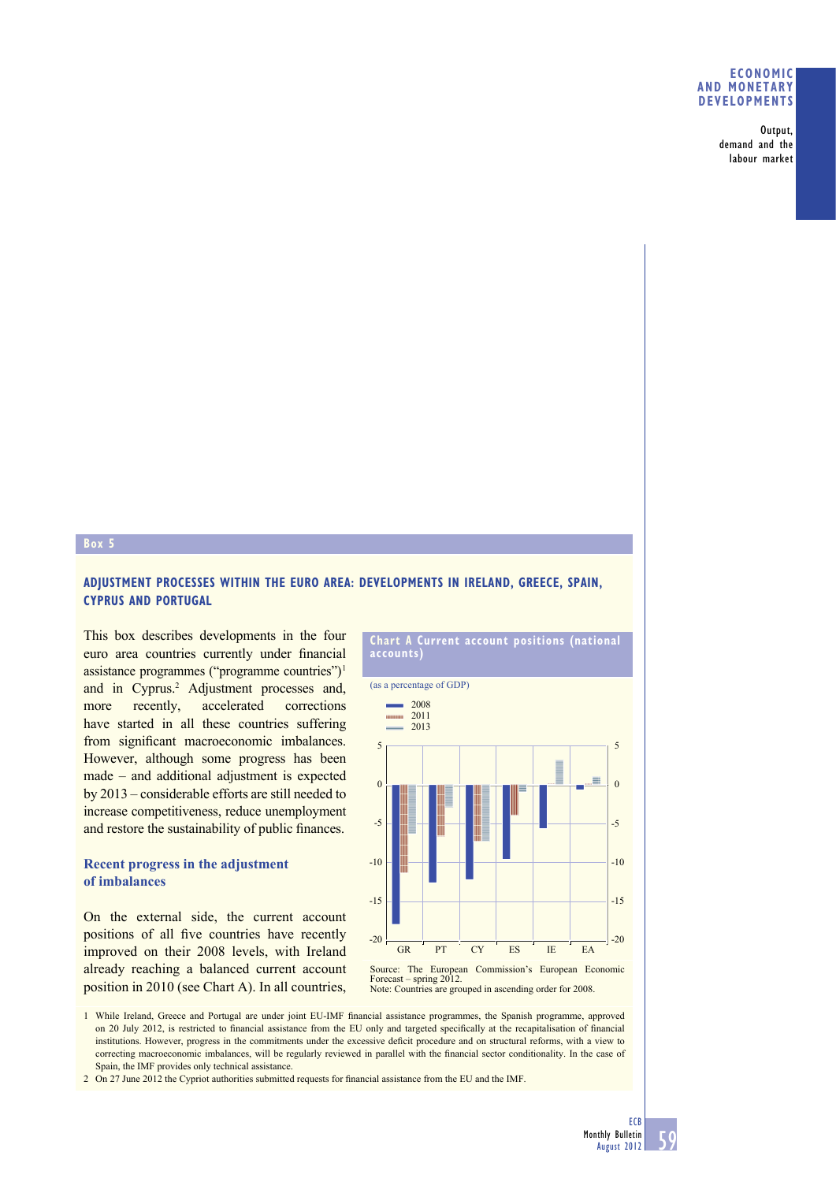## **ECONOMIC AND MONETARY DEVELOPMENTS**

Output, demand and the labour market

## **Box 5**

# **ADJUSTMENT PROCESSES WITHIN THE EURO AREA: DEVELOPMENTS IN IRELAND, GREECE, SPAIN, CYPRUS AND PORTUGAL**

This box describes developments in the four euro area countries currently under financial assistance programmes ("programme countries") 1 and in Cyprus.<sup>2</sup> Adjustment processes and, more recently, accelerated corrections have started in all these countries suffering from significant macroeconomic imbalances. However, although some progress has been made – and additional adjustment is expected by 2013 – considerable efforts are still needed to increase competitiveness, reduce unemployment and restore the sustainability of public finances.

# **Recent progress in the adjustment of imbalances**

On the external side, the current account positions of all five countries have recently improved on their 2008 levels, with Ireland already reaching a balanced current account position in 2010 (see Chart A). In all countries,



(as a percentage of GDP)



Source: The European Commission's European Economic Forecast – spring 2012. Note: Countries are grouped in ascending order for 2008.

1 While Ireland, Greece and Portugal are under joint EU-IMF financial assistance programmes, the Spanish programme, approved on 20 July 2012, is restricted to financial assistance from the EU only and targeted specifically at the recapitalisation of financial institutions. However, progress in the commitments under the excessive deficit procedure and on structural reforms, with a view to correcting macroeconomic imbalances, will be regularly reviewed in parallel with the financial sector conditionality. In the case of Spain, the IMF provides only technical assistance.

2 On 27 June 2012 the Cypriot authorities submitted requests for financial assistance from the EU and the IMF.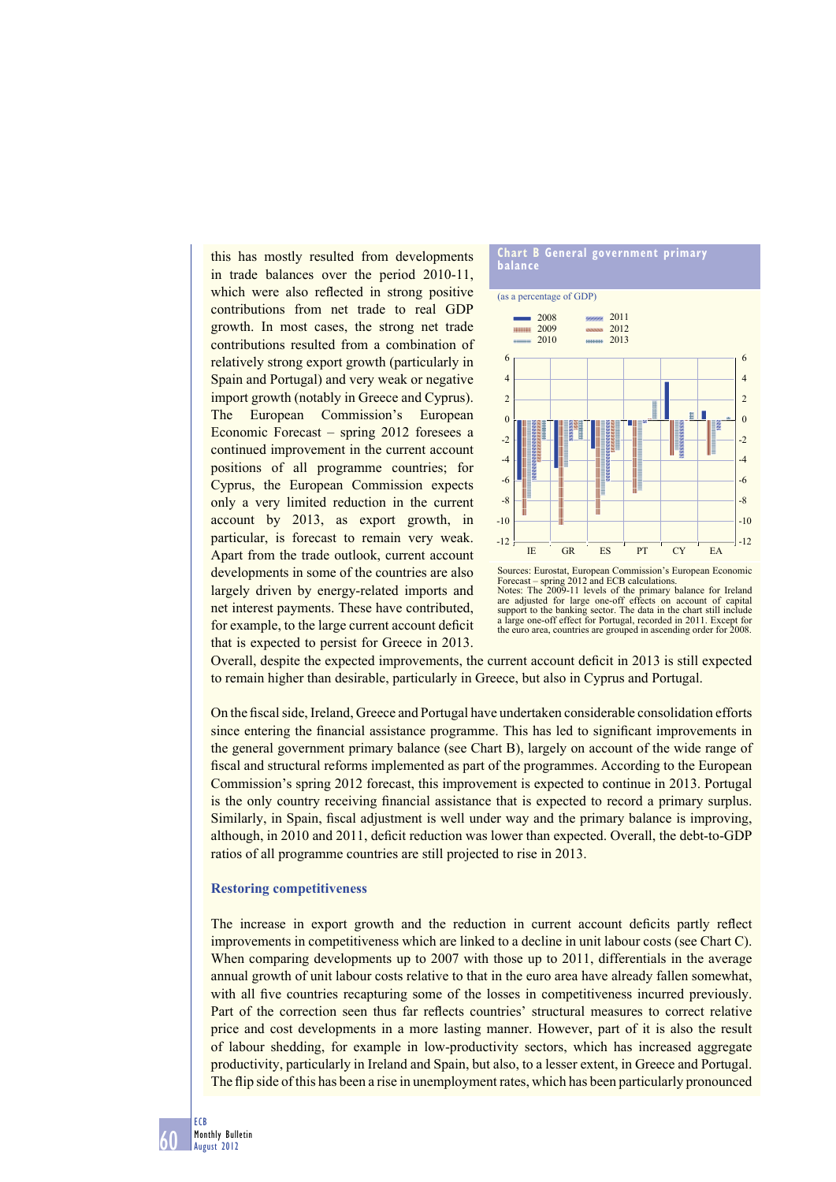this has mostly resulted from developments in trade balances over the period 2010-11, which were also reflected in strong positive contributions from net trade to real GDP growth. In most cases, the strong net trade contributions resulted from a combination of relatively strong export growth (particularly in Spain and Portugal) and very weak or negative import growth (notably in Greece and Cyprus). The European Commission's European Economic Forecast – spring 2012 foresees a continued improvement in the current account positions of all programme countries; for Cyprus, the European Commission expects only a very limited reduction in the current account by 2013, as export growth, in particular, is forecast to remain very weak. Apart from the trade outlook, current account developments in some of the countries are also largely driven by energy-related imports and net interest payments. These have contributed, for example, to the large current account deficit that is expected to persist for Greece in 2013.



Sources: Eurostat, European Commission's European Economic Forecast – spring 2012 and ECB calculations. Notes: The 2009-11 levels of the primary balance for Ireland are adjusted for large one-off effects on account of capital support to the banking sector. The data in the chart still include a large one-off effect for Portugal, recorded in 2011. Except for the euro area, countries are grouped in ascending order for 2008.

Overall, despite the expected improvements, the current account deficit in 2013 is still expected to remain higher than desirable, particularly in Greece, but also in Cyprus and Portugal.

On the fiscal side, Ireland, Greece and Portugal have undertaken considerable consolidation efforts since entering the financial assistance programme. This has led to significant improvements in the general government primary balance (see Chart B), largely on account of the wide range of fiscal and structural reforms implemented as part of the programmes. According to the European Commission's spring 2012 forecast, this improvement is expected to continue in 2013. Portugal is the only country receiving financial assistance that is expected to record a primary surplus. Similarly, in Spain, fiscal adjustment is well under way and the primary balance is improving, although, in 2010 and 2011, deficit reduction was lower than expected. Overall, the debt-to-GDP ratios of all programme countries are still projected to rise in 2013.

#### **Restoring competitiveness**

The increase in export growth and the reduction in current account deficits partly reflect improvements in competitiveness which are linked to a decline in unit labour costs (see Chart C). When comparing developments up to 2007 with those up to 2011, differentials in the average annual growth of unit labour costs relative to that in the euro area have already fallen somewhat, with all five countries recapturing some of the losses in competitiveness incurred previously. Part of the correction seen thus far reflects countries' structural measures to correct relative price and cost developments in a more lasting manner. However, part of it is also the result of labour shedding, for example in low-productivity sectors, which has increased aggregate productivity, particularly in Ireland and Spain, but also, to a lesser extent, in Greece and Portugal. The flip side of this has been a rise in unemployment rates, which has been particularly pronounced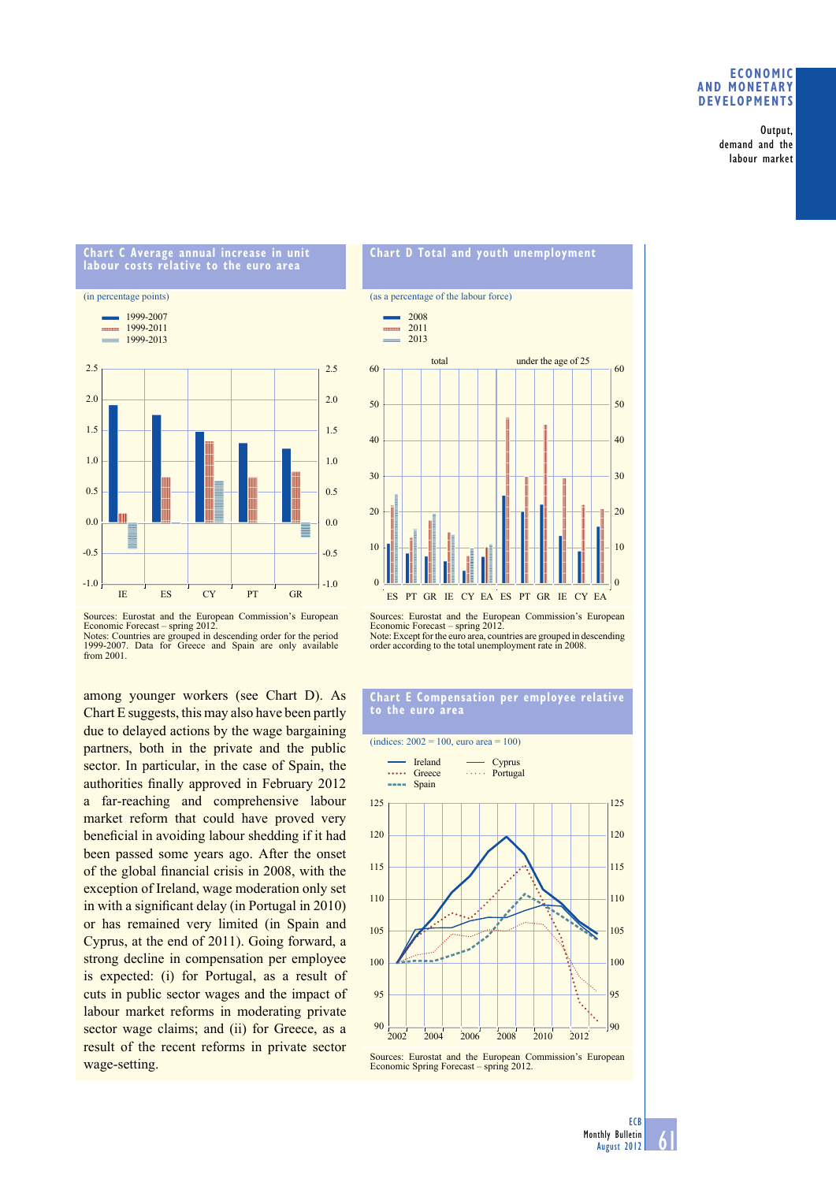## **ECONOMIC AND MONETARY DEVELOPMENTS**

Output, demand and the labour market



**Chart C Average annual increase in unit labour costs relative to the euro area**





among younger workers (see Chart D). As Chart E suggests, this may also have been partly due to delayed actions by the wage bargaining partners, both in the private and the public sector. In particular, in the case of Spain, the authorities finally approved in February 2012 a far-reaching and comprehensive labour market reform that could have proved very beneficial in avoiding labour shedding if it had been passed some years ago. After the onset of the global financial crisis in 2008, with the exception of Ireland, wage moderation only set in with a significant delay (in Portugal in  $2010$ ) or has remained very limited (in Spain and Cyprus, at the end of 2011). Going forward, a strong decline in compensation per employee is expected: (i) for Portugal, as a result of cuts in public sector wages and the impact of labour market reforms in moderating private sector wage claims; and (ii) for Greece, as a result of the recent reforms in private sector wage-setting.



Sources: Eurostat and the European Commission's European Economic Forecast – spring 2012. Note: Except for the euro area, countries are grouped in descending order according to the total unemployment rate in 2008.

### **Chart E Compensation per employee relative to the euro area**